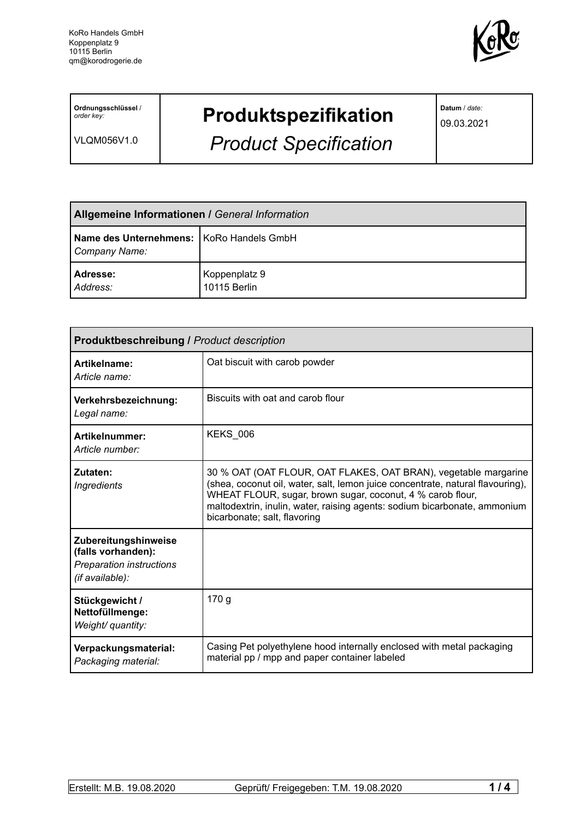

**Ordnungsschlüssel** / *order key:*

VLQM056V1.0

# **Produktspezifikation**

*Product Specification*

**Datum** / *date:*

09.03.2021

| <b>Allgemeine Informationen / General Information</b>       |                               |  |
|-------------------------------------------------------------|-------------------------------|--|
| Name des Unternehmens:   KoRo Handels GmbH<br>Company Name: |                               |  |
| <b>Adresse:</b><br>Address:                                 | Koppenplatz 9<br>10115 Berlin |  |

| Produktbeschreibung / Product description                                                 |                                                                                                                                                                                                                                                                                                                              |  |  |
|-------------------------------------------------------------------------------------------|------------------------------------------------------------------------------------------------------------------------------------------------------------------------------------------------------------------------------------------------------------------------------------------------------------------------------|--|--|
| Artikelname:<br>Article name:                                                             | Oat biscuit with carob powder                                                                                                                                                                                                                                                                                                |  |  |
| Verkehrsbezeichnung:<br>Legal name:                                                       | Biscuits with oat and carob flour                                                                                                                                                                                                                                                                                            |  |  |
| Artikelnummer:<br>Article number:                                                         | <b>KEKS_006</b>                                                                                                                                                                                                                                                                                                              |  |  |
| Zutaten:<br><b>Ingredients</b>                                                            | 30 % OAT (OAT FLOUR, OAT FLAKES, OAT BRAN), vegetable margarine<br>(shea, coconut oil, water, salt, lemon juice concentrate, natural flavouring),<br>WHEAT FLOUR, sugar, brown sugar, coconut, 4 % carob flour,<br>maltodextrin, inulin, water, raising agents: sodium bicarbonate, ammonium<br>bicarbonate; salt, flavoring |  |  |
| Zubereitungshinweise<br>(falls vorhanden):<br>Preparation instructions<br>(if available): |                                                                                                                                                                                                                                                                                                                              |  |  |
| Stückgewicht /<br>Nettofüllmenge:<br>Weight/ quantity:                                    | 170 g                                                                                                                                                                                                                                                                                                                        |  |  |
| Verpackungsmaterial:<br>Packaging material:                                               | Casing Pet polyethylene hood internally enclosed with metal packaging<br>material pp / mpp and paper container labeled                                                                                                                                                                                                       |  |  |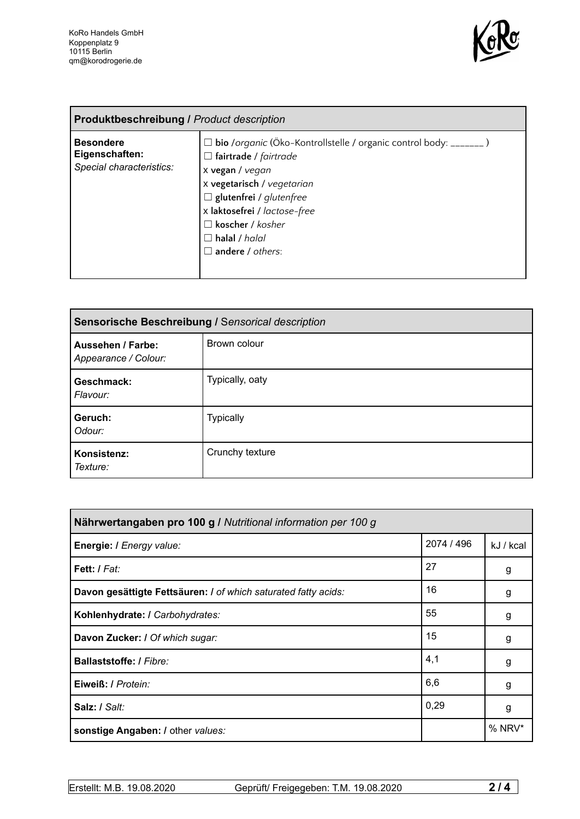

| <b>Produktbeschreibung / Product description</b>               |                                                                                                                                                                                                                                                                                                       |  |
|----------------------------------------------------------------|-------------------------------------------------------------------------------------------------------------------------------------------------------------------------------------------------------------------------------------------------------------------------------------------------------|--|
| <b>Besondere</b><br>Eigenschaften:<br>Special characteristics: | □ bio /organic (Öko-Kontrollstelle / organic control body: _______ )<br>$\Box$ fairtrade / fairtrade<br>x vegan / vegan<br>x vegetarisch / vegetarian<br>$\Box$ glutenfrei / glutenfree<br>x laktosefrei / lactose-free<br>$\Box$ koscher / kosher<br>$\Box$ halal / halal<br>$\Box$ andere / others: |  |

| Sensorische Beschreibung / Sensorical description |                  |  |
|---------------------------------------------------|------------------|--|
| Aussehen / Farbe:<br>Appearance / Colour:         | Brown colour     |  |
| Geschmack:<br>Flavour:                            | Typically, oaty  |  |
| Geruch:<br>Odour:                                 | <b>Typically</b> |  |
| Konsistenz:<br>Texture:                           | Crunchy texture  |  |

| Nährwertangaben pro 100 g / Nutritional information per 100 g  |            |           |
|----------------------------------------------------------------|------------|-----------|
| Energie: I Energy value:                                       | 2074 / 496 | kJ / kcal |
| Fett: I Fat:                                                   | 27         | g         |
| Davon gesättigte Fettsäuren: I of which saturated fatty acids: | 16         | g         |
| Kohlenhydrate: I Carbohydrates:                                | 55         | g         |
| Davon Zucker: I Of which sugar:                                | 15         | g         |
| <b>Ballaststoffe: / Fibre:</b>                                 | 4,1        | g         |
| Eiweiß: / Protein:                                             | 6,6        | g         |
| Salz: / Salt:                                                  | 0,29       | g         |
| sonstige Angaben: / other values:                              |            | $%$ NRV*  |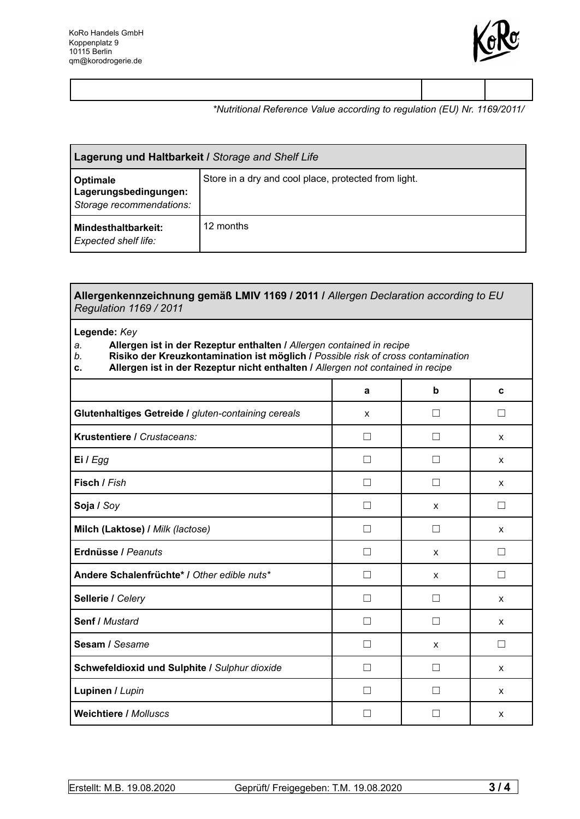

### *\*Nutritional Reference Value according to regulation (EU) Nr. 1169/2011/*

| Lagerung und Haltbarkeit / Storage and Shelf Life             |                                                      |  |
|---------------------------------------------------------------|------------------------------------------------------|--|
| Optimale<br>Lagerungsbedingungen:<br>Storage recommendations: | Store in a dry and cool place, protected from light. |  |
| Mindesthaltbarkeit:<br><b>Expected shelf life:</b>            | 12 months                                            |  |

#### **Allergenkennzeichnung gemäß LMIV 1169 / 2011 /** *Allergen Declaration according to EU Regulation 1169 / 2011*

#### **Legende:** *Key*

## *a.* **Allergen ist in der Rezeptur enthalten /** *Allergen contained in recipe*

- *b.* **Risiko der Kreuzkontamination ist möglich /** *Possible risk of cross contamination*
- **c. Allergen ist in der Rezeptur nicht enthalten /** *Allergen not contained in recipe*

|                                                     | a            | b                 | C                        |
|-----------------------------------------------------|--------------|-------------------|--------------------------|
| Glutenhaltiges Getreide / gluten-containing cereals | X            | $\vert \ \ \vert$ | $\vert \ \ \vert$        |
| Krustentiere / Crustaceans:                         | П            | $\mathcal{L}$     | X                        |
| Ei / Egg                                            | $\mathbf{L}$ |                   | X                        |
| Fisch / Fish                                        | П            | $\mathcal{L}$     | X                        |
| Soja / Soy                                          | $\mathbf{I}$ | X                 | $\overline{\phantom{a}}$ |
| Milch (Laktose) / Milk (lactose)                    | П            | П                 | X                        |
| Erdnüsse / Peanuts                                  | ΓI           | X                 | $\mathsf{L}$             |
| Andere Schalenfrüchte* / Other edible nuts*         | П            | X                 | П                        |
| Sellerie / Celery                                   |              |                   | $\mathsf{x}$             |
| <b>Senf / Mustard</b>                               | П            |                   | $\mathsf{x}$             |
| Sesam / Sesame                                      |              | $\mathsf{x}$      | - 1                      |
| Schwefeldioxid und Sulphite / Sulphur dioxide       | П            | - 1               | X                        |
| Lupinen / Lupin                                     | П            |                   | X                        |
| <b>Weichtiere / Molluscs</b>                        | L            |                   | X                        |